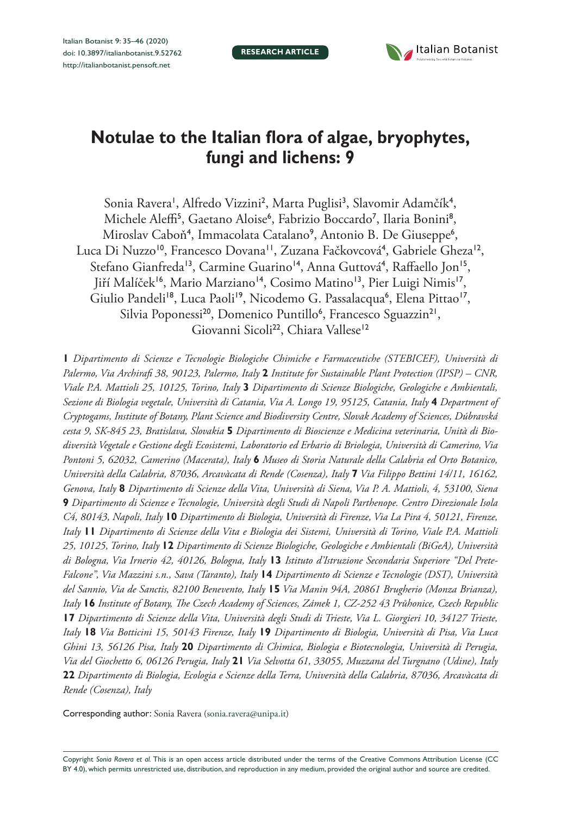**RESEARCH ARTICLE**



# **Notulae to the Italian flora of algae, bryophytes, fungi and lichens: 9**

Sonia Ravera', Alfredo Vizzini<sup>2</sup>, Marta Puglisi<sup>3</sup>, Slavomir Adamčík<sup>4</sup>, Michele Aleffi<sup>5</sup>, Gaetano Aloise<sup>6</sup>, Fabrizio Boccardo<sup>7</sup>, Ilaria Bonini<sup>8</sup>, Miroslav Caboň<sup>4</sup>, Immacolata Catalano<sup>9</sup>, Antonio B. De Giuseppe<sup>6</sup>, Luca Di Nuzzo<sup>10</sup>, Francesco Dovana<sup>11</sup>, Zuzana Fačkovcová<sup>4</sup>, Gabriele Gheza<sup>12</sup>, Stefano Gianfreda<sup>13</sup>, Carmine Guarino<sup>14</sup>, Anna Guttová<sup>4</sup>, Raffaello Jon<sup>15</sup>, Jiří Malíček<sup>16</sup>, Mario Marziano<sup>14</sup>, Cosimo Matino<sup>13</sup>, Pier Luigi Nimis<sup>17</sup>, Giulio Pandeli<sup>18</sup>, Luca Paoli<sup>19</sup>, Nicodemo G. Passalacqua<sup>6</sup>, Elena Pittao<sup>17</sup>, Silvia Poponessi<sup>20</sup>, Domenico Puntillo<sup>6</sup>, Francesco Sguazzin<sup>21</sup>, Giovanni Sicoli<sup>22</sup>, Chiara Vallese<sup>12</sup>

**1** *Dipartimento di Scienze e Tecnologie Biologiche Chimiche e Farmaceutiche (STEBICEF), Università di Palermo, Via Archirafi 38, 90123, Palermo, Italy* **2** *Institute for Sustainable Plant Protection (IPSP) – CNR, Viale P.A. Mattioli 25, 10125, Torino, Italy* **3** *Dipartimento di Scienze Biologiche, Geologiche e Ambientali, Sezione di Biologia vegetale, Università di Catania, Via A. Longo 19, 95125, Catania, Italy* **4** *Department of Cryptogams, Institute of Botany, Plant Science and Biodiversity Centre, Slovak Academy of Sciences, Dúbravská cesta 9, SK-845 23, Bratislava, Slovakia* **5** *Dipartimento di Bioscienze e Medicina veterinaria, Unità di Biodiversità Vegetale e Gestione degli Ecosistemi, Laboratorio ed Erbario di Briologia, Università di Camerino, Via Pontoni 5, 62032, Camerino (Macerata), Italy* **6** *Museo di Storia Naturale della Calabria ed Orto Botanico, Università della Calabria, 87036, Arcavàcata di Rende (Cosenza), Italy* **7** *Via Filippo Bettini 14/11, 16162, Genova, Italy* **8** *Dipartimento di Scienze della Vita, Università di Siena, Via P. A. Mattioli, 4, 53100, Siena*  **9** *Dipartimento di Scienze e Tecnologie, Università degli Studi di Napoli Parthenope. Centro Direzionale Isola C4, 80143, Napoli, Italy* **10** *Dipartimento di Biologia, Università di Firenze, Via La Pira 4, 50121, Firenze, Italy* **11** *Dipartimento di Scienze della Vita e Biologia dei Sistemi, Università di Torino, Viale P.A. Mattioli 25, 10125, Torino, Italy* **12** *Dipartimento di Scienze Biologiche, Geologiche e Ambientali (BiGeA), Università di Bologna, Via Irnerio 42, 40126, Bologna, Italy* **13** *Istituto d'Istruzione Secondaria Superiore "Del Prete-Falcone", Via Mazzini s.n., Sava (Taranto), Italy* **14** *Dipartimento di Scienze e Tecnologie (DST), Università del Sannio, Via de Sanctis, 82100 Benevento, Italy* **15** *Via Manin 94A, 20861 Brugherio (Monza Brianza), Italy* **16** *Institute of Botany, The Czech Academy of Sciences, Zámek 1, CZ-252 43 Průhonice, Czech Republic*  **17** *Dipartimento di Scienze della Vita, Università degli Studi di Trieste, Via L. Giorgieri 10, 34127 Trieste, Italy* **18** *Via Botticini 15, 50143 Firenze, Italy* **19** *Dipartimento di Biologia, Università di Pisa, Via Luca Ghini 13, 56126 Pisa, Italy* **20** *Dipartimento di Chimica, Biologia e Biotecnologia, Università di Perugia, Via del Giochetto 6, 06126 Perugia, Italy* **21** *Via Selvotta 61, 33055, Muzzana del Turgnano (Udine), Italy*  **22** *Dipartimento di Biologia, Ecologia e Scienze della Terra, Università della Calabria, 87036, Arcavàcata di Rende (Cosenza), Italy*

Corresponding author: Sonia Ravera ([sonia.ravera@unipa.it\)](mailto:sonia.ravera@unipa.it)

Copyright *Sonia Ravera et al.* This is an open access article distributed under the terms of the [Creative Commons Attribution License \(CC](http://creativecommons.org/licenses/by/4.0/)  [BY 4.0\)](http://creativecommons.org/licenses/by/4.0/), which permits unrestricted use, distribution, and reproduction in any medium, provided the original author and source are credited.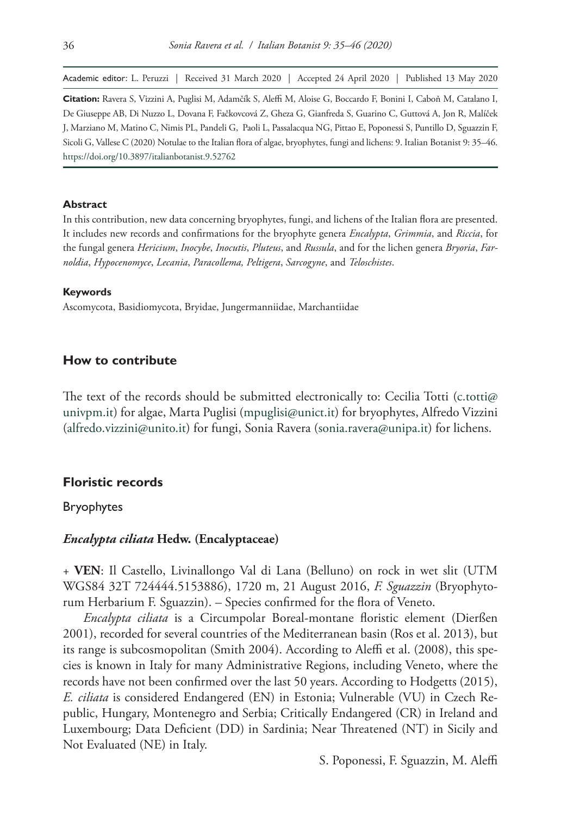Academic editor: L. Peruzzi | Received 31 March 2020 | Accepted 24 April 2020 | Published 13 May 2020

**Citation:** Ravera S, Vizzini A, Puglisi M, Adamčík S, Aleffi M, Aloise G, Boccardo F, Bonini I, Caboň M, Catalano I, De Giuseppe AB, Di Nuzzo L, Dovana F, Fačkovcová Z, Gheza G, Gianfreda S, Guarino C, Guttová A, Jon R, Malíček J, Marziano M, Matino C, Nimis PL, Pandeli G, Paoli L, Passalacqua NG, Pittao E, Poponessi S, Puntillo D, Sguazzin F, Sicoli G, Vallese C (2020) Notulae to the Italian flora of algae, bryophytes, fungi and lichens: 9. Italian Botanist 9: 35–46. <https://doi.org/10.3897/italianbotanist.9.52762>

#### **Abstract**

In this contribution, new data concerning bryophytes, fungi, and lichens of the Italian flora are presented. It includes new records and confirmations for the bryophyte genera *Encalypta*, *Grimmia*, and *Riccia*, for the fungal genera *Hericium*, *Inocybe*, *Inocutis*, *Pluteus*, and *Russula*, and for the lichen genera *Bryoria*, *Farnoldia*, *Hypocenomyce*, *Lecania*, *Paracollema, Peltigera*, *Sarcogyne*, and *Teloschistes*.

#### **Keywords**

Ascomycota, Basidiomycota, Bryidae, Jungermanniidae, Marchantiidae

#### **How to contribute**

The text of the records should be submitted electronically to: Cecilia Totti (c.totti $\varphi$ [univpm.it\)](mailto:c.totti@univpm.it) for algae, Marta Puglisi [\(mpuglisi@unict.it](mailto:mpuglisi@unict.it)) for bryophytes, Alfredo Vizzini ([alfredo.vizzini@unito.it](mailto:alfredo.vizzini@unito.it)) for fungi, Sonia Ravera ([sonia.ravera@unipa.it](mailto:sonia.ravera@unipa.it)) for lichens.

#### **Floristic records**

#### Bryophytes

#### *Encalypta ciliata* **Hedw. (Encalyptaceae)**

+ **VEN**: Il Castello, Livinallongo Val di Lana (Belluno) on rock in wet slit (UTM WGS84 32T 724444.5153886), 1720 m, 21 August 2016, *F. Sguazzin* (Bryophytorum Herbarium F. Sguazzin). – Species confirmed for the flora of Veneto.

*Encalypta ciliata* is a Circumpolar Boreal-montane floristic element (Dierßen 2001), recorded for several countries of the Mediterranean basin (Ros et al. 2013), but its range is subcosmopolitan (Smith 2004). According to Aleffi et al. (2008), this species is known in Italy for many Administrative Regions, including Veneto, where the records have not been confirmed over the last 50 years. According to Hodgetts (2015), *E. ciliata* is considered Endangered (EN) in Estonia; Vulnerable (VU) in Czech Republic, Hungary, Montenegro and Serbia; Critically Endangered (CR) in Ireland and Luxembourg; Data Deficient (DD) in Sardinia; Near Threatened (NT) in Sicily and Not Evaluated (NE) in Italy.

S. Poponessi, F. Sguazzin, M. Aleffi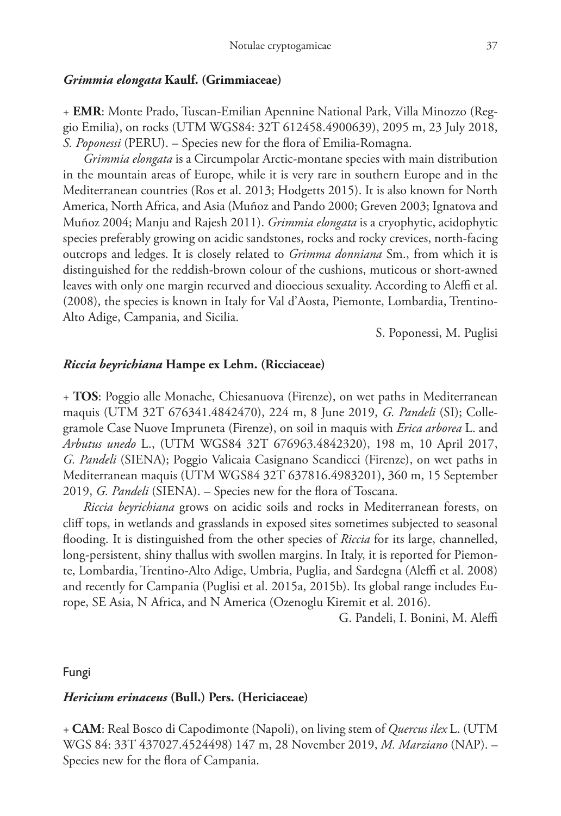#### *Grimmia elongata* **Kaulf. (Grimmiaceae)**

+ **EMR**: Monte Prado, Tuscan-Emilian Apennine National Park, Villa Minozzo (Reggio Emilia), on rocks (UTM WGS84: 32T 612458.4900639), 2095 m, 23 July 2018, *S. Poponessi* (PERU). – Species new for the flora of Emilia-Romagna.

*Grimmia elongata* is a Circumpolar Arctic-montane species with main distribution in the mountain areas of Europe, while it is very rare in southern Europe and in the Mediterranean countries (Ros et al. 2013; Hodgetts 2015). It is also known for North America, North Africa, and Asia (Muñoz and Pando 2000; Greven 2003; Ignatova and Muñoz 2004; Manju and Rajesh 2011). *Grimmia elongata* is a cryophytic, acidophytic species preferably growing on acidic sandstones, rocks and rocky crevices, north-facing outcrops and ledges. It is closely related to *Grimma donniana* Sm., from which it is distinguished for the reddish-brown colour of the cushions, muticous or short-awned leaves with only one margin recurved and dioecious sexuality. According to Aleffi et al. (2008), the species is known in Italy for Val d'Aosta, Piemonte, Lombardia, Trentino-Alto Adige, Campania, and Sicilia.

S. Poponessi, M. Puglisi

## *Riccia beyrichiana* **Hampe ex Lehm. (Ricciaceae)**

+ **TOS**: Poggio alle Monache, Chiesanuova (Firenze), on wet paths in Mediterranean maquis (UTM 32T 676341.4842470), 224 m, 8 June 2019, *G. Pandeli* (SI); Collegramole Case Nuove Impruneta (Firenze), on soil in maquis with *Erica arborea* L. and *Arbutus unedo* L., (UTM WGS84 32T 676963.4842320), 198 m, 10 April 2017, *G. Pandeli* (SIENA); Poggio Valicaia Casignano Scandicci (Firenze), on wet paths in Mediterranean maquis (UTM WGS84 32T 637816.4983201), 360 m, 15 September 2019, *G. Pandeli* (SIENA). – Species new for the flora of Toscana.

*Riccia beyrichiana* grows on acidic soils and rocks in Mediterranean forests, on cliff tops, in wetlands and grasslands in exposed sites sometimes subjected to seasonal flooding. It is distinguished from the other species of *Riccia* for its large, channelled, long-persistent, shiny thallus with swollen margins. In Italy, it is reported for Piemonte, Lombardia, Trentino-Alto Adige, Umbria, Puglia, and Sardegna (Aleffi et al. 2008) and recently for Campania (Puglisi et al. 2015a, 2015b). Its global range includes Europe, SE Asia, N Africa, and N America (Ozenoglu Kiremit et al. 2016).

G. Pandeli, I. Bonini, M. Aleffi

#### Fungi

## *Hericium erinaceus* **(Bull.) Pers. (Hericiaceae)**

+ **CAM**: Real Bosco di Capodimonte (Napoli), on living stem of *Quercus ilex* L. (UTM WGS 84: 33T 437027.4524498) 147 m, 28 November 2019, *M. Marziano* (NAP). – Species new for the flora of Campania.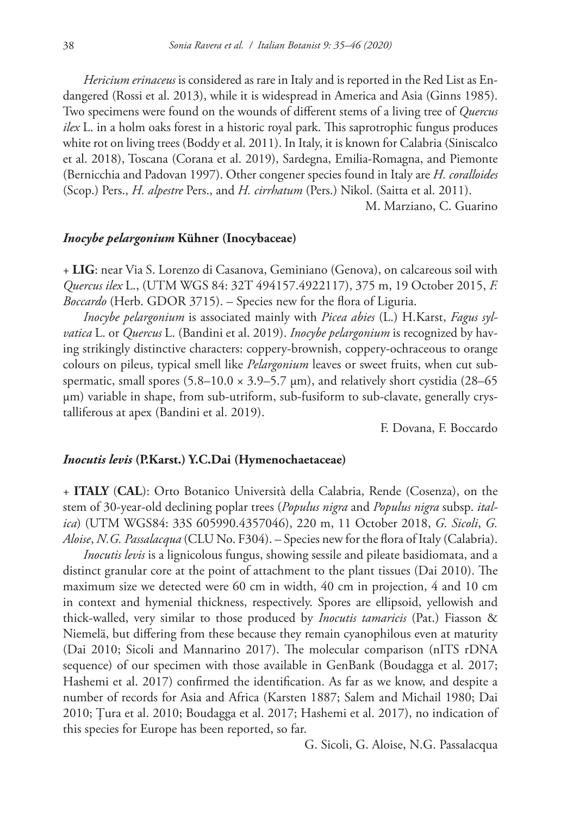*Hericium erinaceus* is considered as rare in Italy and is reported in the Red List as Endangered (Rossi et al. 2013), while it is widespread in America and Asia (Ginns 1985). Two specimens were found on the wounds of different stems of a living tree of *Quercus ilex* L. in a holm oaks forest in a historic royal park. This saprotrophic fungus produces white rot on living trees (Boddy et al. 2011). In Italy, it is known for Calabria (Siniscalco et al. 2018), Toscana (Corana et al. 2019), Sardegna, Emilia-Romagna, and Piemonte (Bernicchia and Padovan 1997). Other congener species found in Italy are *H. coralloides* (Scop.) Pers., *H. alpestre* Pers., and *H. cirrhatum* (Pers.) Nikol. (Saitta et al. 2011).

M. Marziano, C. Guarino

#### *Inocybe pelargonium* **Kühner (Inocybaceae)**

+ **LIG**: near Via S. Lorenzo di Casanova, Geminiano (Genova), on calcareous soil with *Quercus ilex* L., (UTM WGS 84: 32T 494157.4922117), 375 m, 19 October 2015, *F. Boccardo* (Herb. GDOR 3715). – Species new for the flora of Liguria.

*Inocybe pelargonium* is associated mainly with *Picea abies* (L.) H.Karst, *Fagus sylvatica* L. or *Quercus* L. (Bandini et al. 2019). *Inocybe pelargonium* is recognized by having strikingly distinctive characters: coppery-brownish, coppery-ochraceous to orange colours on pileus, typical smell like *Pelargonium* leaves or sweet fruits, when cut subspermatic, small spores  $(5.8-10.0 \times 3.9-5.7 \mu m)$ , and relatively short cystidia (28–65) μm) variable in shape, from sub-utriform, sub-fusiform to sub-clavate, generally crystalliferous at apex (Bandini et al. 2019).

F. Dovana, F. Boccardo

#### *Inocutis levis* **(P.Karst.) Y.C.Dai (Hymenochaetaceae)**

+ **ITALY** (**CAL**): Orto Botanico Università della Calabria, Rende (Cosenza), on the stem of 30-year-old declining poplar trees (*Populus nigra* and *Populus nigra* subsp. *italica*) (UTM WGS84: 33S 605990.4357046), 220 m, 11 October 2018, *G. Sicoli*, *G. Aloise*, *N.G. Passalacqua* (CLU No. F304). – Species new for the flora of Italy (Calabria).

*Inocutis levis* is a lignicolous fungus, showing sessile and pileate basidiomata, and a distinct granular core at the point of attachment to the plant tissues (Dai 2010). The maximum size we detected were 60 cm in width, 40 cm in projection, 4 and 10 cm in context and hymenial thickness, respectively. Spores are ellipsoid, yellowish and thick-walled, very similar to those produced by *Inocutis tamaricis* (Pat.) Fiasson & Niemelä, but differing from these because they remain cyanophilous even at maturity (Dai 2010; Sicoli and Mannarino 2017). The molecular comparison (nITS rDNA sequence) of our specimen with those available in GenBank (Boudagga et al. 2017; Hashemi et al. 2017) confirmed the identification. As far as we know, and despite a number of records for Asia and Africa (Karsten 1887; Salem and Michail 1980; Dai 2010; Ţura et al. 2010; Boudagga et al. 2017; Hashemi et al. 2017), no indication of this species for Europe has been reported, so far.

G. Sicoli, G. Aloise, N.G. Passalacqua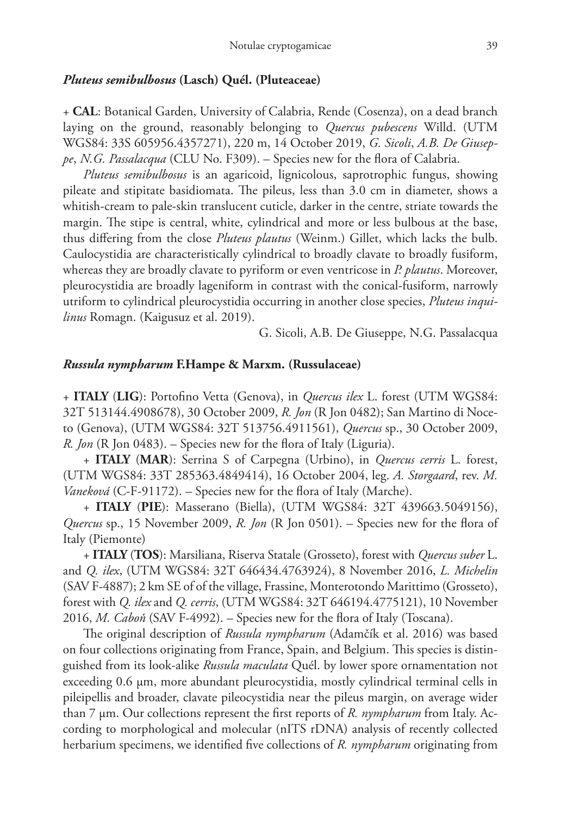#### *Pluteus semibulbosus* **(Lasch) Quél. (Pluteaceae)**

+ **CAL**: Botanical Garden, University of Calabria, Rende (Cosenza), on a dead branch laying on the ground, reasonably belonging to *Quercus pubescens* Willd. (UTM WGS84: 33S 605956.4357271), 220 m, 14 October 2019, *G. Sicoli*, *A.B. De Giuseppe*, *N.G. Passalacqua* (CLU No. F309). – Species new for the flora of Calabria.

*Pluteus semibulbosus* is an agaricoid, lignicolous, saprotrophic fungus, showing pileate and stipitate basidiomata. The pileus, less than 3.0 cm in diameter, shows a whitish-cream to pale-skin translucent cuticle, darker in the centre, striate towards the margin. The stipe is central, white, cylindrical and more or less bulbous at the base, thus differing from the close *Pluteus plautus* (Weinm.) Gillet, which lacks the bulb. Caulocystidia are characteristically cylindrical to broadly clavate to broadly fusiform, whereas they are broadly clavate to pyriform or even ventricose in *P. plautus*. Moreover, pleurocystidia are broadly lageniform in contrast with the conical-fusiform, narrowly utriform to cylindrical pleurocystidia occurring in another close species, *Pluteus inquilinus* Romagn. (Kaigusuz et al. 2019).

G. Sicoli, A.B. De Giuseppe, N.G. Passalacqua

## *Russula nympharum* **F.Hampe & Marxm. (Russulaceae)**

+ **ITALY** (**LIG**): Portofino Vetta (Genova), in *Quercus ilex* L. forest (UTM WGS84: 32T 513144.4908678), 30 October 2009, *R. Jon* (R Jon 0482); San Martino di Noceto (Genova), (UTM WGS84: 32T 513756.4911561), *Quercus* sp., 30 October 2009, *R. Jon* (R Jon 0483). – Species new for the flora of Italy (Liguria).

+ **ITALY** (**MAR**): Serrina S of Carpegna (Urbino), in *Quercus cerris* L. forest, (UTM WGS84: 33T 285363.4849414), 16 October 2004, leg. *A. Storgaard*, rev. *M. Vaneková* (C-F-91172). – Species new for the flora of Italy (Marche).

+ **ITALY** (**PIE**): Masserano (Biella), (UTM WGS84: 32T 439663.5049156), *Quercus* sp., 15 November 2009, *R. Jon* (R Jon 0501). – Species new for the flora of Italy (Piemonte)

+ **ITALY** (**TOS**): Marsiliana, Riserva Statale (Grosseto), forest with *Quercus suber* L. and *Q. ilex*, (UTM WGS84: 32T 646434.4763924), 8 November 2016, *L. Michelin* (SAV F-4887); 2 km SE of of the village, Frassine, Monterotondo Marittimo (Grosseto), forest with *Q. ilex* and *Q. cerris*, (UTM WGS84: 32T 646194.4775121), 10 November 2016, *M. Caboň* (SAV F-4992). – Species new for the flora of Italy (Toscana).

The original description of *Russula nympharum* (Adamčík et al. 2016) was based on four collections originating from France, Spain, and Belgium. This species is distinguished from its look-alike *Russula maculata* Quél. by lower spore ornamentation not exceeding 0.6 µm, more abundant pleurocystidia, mostly cylindrical terminal cells in pileipellis and broader, clavate pileocystidia near the pileus margin, on average wider than 7 µm. Our collections represent the first reports of *R. nympharum* from Italy. According to morphological and molecular (nITS rDNA) analysis of recently collected herbarium specimens, we identified five collections of *R. nympharum* originating from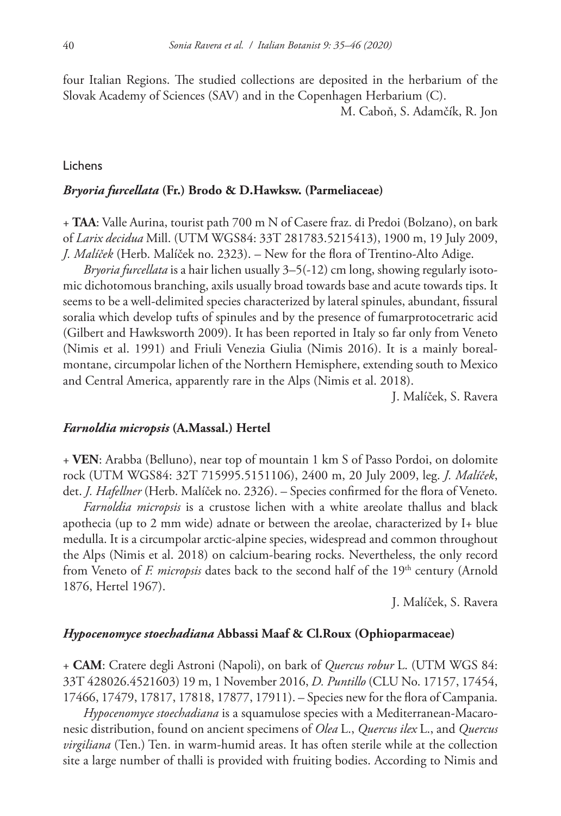four Italian Regions. The studied collections are deposited in the herbarium of the Slovak Academy of Sciences (SAV) and in the Copenhagen Herbarium (C).

M. Caboň, S. Adamčík, R. Jon

#### Lichens

#### *Bryoria furcellata* **(Fr.) Brodo & D.Hawksw. (Parmeliaceae)**

+ **TAA**: Valle Aurina, tourist path 700 m N of Casere fraz. di Predoi (Bolzano), on bark of *Larix decidua* Mill. (UTM WGS84: 33T 281783.5215413), 1900 m, 19 July 2009, *J. Malíček* (Herb. Malíček no. 2323). – New for the flora of Trentino-Alto Adige.

*Bryoria furcellata* is a hair lichen usually 3–5(-12) cm long, showing regularly isotomic dichotomous branching, axils usually broad towards base and acute towards tips. It seems to be a well-delimited species characterized by lateral spinules, abundant, fissural soralia which develop tufts of spinules and by the presence of fumarprotocetraric acid (Gilbert and Hawksworth 2009). It has been reported in Italy so far only from Veneto (Nimis et al. 1991) and Friuli Venezia Giulia (Nimis 2016). It is a mainly borealmontane, circumpolar lichen of the Northern Hemisphere, extending south to Mexico and Central America, apparently rare in the Alps (Nimis et al. 2018).

J. Malíček, S. Ravera

#### *Farnoldia micropsis* **(A.Massal.) Hertel**

+ **VEN**: Arabba (Belluno), near top of mountain 1 km S of Passo Pordoi, on dolomite rock (UTM WGS84: 32T 715995.5151106), 2400 m, 20 July 2009, leg. *J. Malíček*, det. *J. Hafellner* (Herb. Malíček no. 2326). – Species confirmed for the flora of Veneto.

*Farnoldia micropsis* is a crustose lichen with a white areolate thallus and black apothecia (up to 2 mm wide) adnate or between the areolae, characterized by I+ blue medulla. It is a circumpolar arctic-alpine species, widespread and common throughout the Alps (Nimis et al. 2018) on calcium-bearing rocks. Nevertheless, the only record from Veneto of *F. micropsis* dates back to the second half of the 19<sup>th</sup> century (Arnold 1876, Hertel 1967).

J. Malíček, S. Ravera

#### *Hypocenomyce stoechadiana* **Abbassi Maaf & Cl.Roux (Ophioparmaceae)**

+ **CAM**: Cratere degli Astroni (Napoli), on bark of *Quercus robur* L. (UTM WGS 84: 33T 428026.4521603) 19 m, 1 November 2016, *D. Puntillo* (CLU No. 17157, 17454, 17466, 17479, 17817, 17818, 17877, 17911). – Species new for the flora of Campania.

*Hypocenomyce stoechadiana* is a squamulose species with a Mediterranean-Macaronesic distribution, found on ancient specimens of *Olea* L., *Quercus ilex* L., and *Quercus virgiliana* (Ten.) Ten. in warm-humid areas. It has often sterile while at the collection site a large number of thalli is provided with fruiting bodies. According to Nimis and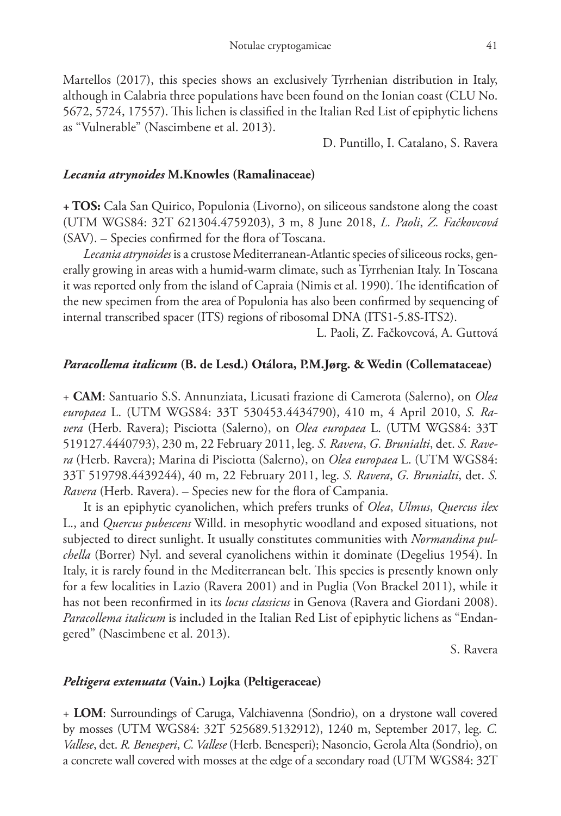Martellos (2017), this species shows an exclusively Tyrrhenian distribution in Italy, although in Calabria three populations have been found on the Ionian coast (CLU No. 5672, 5724, 17557). This lichen is classified in the Italian Red List of epiphytic lichens as "Vulnerable" (Nascimbene et al. 2013).

D. Puntillo, I. Catalano, S. Ravera

## *Lecania atrynoides* **M.Knowles (Ramalinaceae)**

**+ TOS:** Cala San Quirico, Populonia (Livorno), on siliceous sandstone along the coast (UTM WGS84: 32T 621304.4759203), 3 m, 8 June 2018, *L. Paoli*, *Z. Fačkovcová* (SAV). – Species confirmed for the flora of Toscana.

*Lecania atrynoides* is a crustose Mediterranean-Atlantic species of siliceous rocks, generally growing in areas with a humid-warm climate, such as Tyrrhenian Italy. In Toscana it was reported only from the island of Capraia (Nimis et al. 1990). The identification of the new specimen from the area of Populonia has also been confirmed by sequencing of internal transcribed spacer (ITS) regions of ribosomal DNA (ITS1-5.8S-ITS2).

L. Paoli, Z. Fačkovcová, A. Guttová

# *Paracollema italicum* **(B. de Lesd.) Otálora, P.M.Jørg. & Wedin (Collemataceae)**

+ **CAM**: Santuario S.S. Annunziata, Licusati frazione di Camerota (Salerno), on *Olea europaea* L. (UTM WGS84: 33T 530453.4434790), 410 m, 4 April 2010, *S. Ravera* (Herb. Ravera); Pisciotta (Salerno), on *Olea europaea* L. (UTM WGS84: 33T 519127.4440793), 230 m, 22 February 2011, leg. *S. Ravera*, *G. Brunialti*, det. *S. Ravera* (Herb. Ravera); Marina di Pisciotta (Salerno), on *Olea europaea* L. (UTM WGS84: 33T 519798.4439244), 40 m, 22 February 2011, leg. *S. Ravera*, *G. Brunialti*, det. *S. Ravera* (Herb. Ravera). – Species new for the flora of Campania.

It is an epiphytic cyanolichen, which prefers trunks of *Olea*, *Ulmus*, *Quercus ilex* L., and *Quercus pubescens* Willd. in mesophytic woodland and exposed situations, not subjected to direct sunlight. It usually constitutes communities with *Normandina pulchella* (Borrer) Nyl. and several cyanolichens within it dominate (Degelius 1954). In Italy, it is rarely found in the Mediterranean belt. This species is presently known only for a few localities in Lazio (Ravera 2001) and in Puglia (Von Brackel 2011), while it has not been reconfirmed in its *locus classicus* in Genova (Ravera and Giordani 2008). *Paracollema italicum* is included in the Italian Red List of epiphytic lichens as "Endangered" (Nascimbene et al. 2013).

S. Ravera

# *Peltigera extenuata* **(Vain.) Lojka (Peltigeraceae)**

+ **LOM**: Surroundings of Caruga, Valchiavenna (Sondrio), on a drystone wall covered by mosses (UTM WGS84: 32T 525689.5132912), 1240 m, September 2017, leg. *C. Vallese*, det. *R. Benesperi*, *C. Vallese* (Herb. Benesperi); Nasoncio, Gerola Alta (Sondrio), on a concrete wall covered with mosses at the edge of a secondary road (UTM WGS84: 32T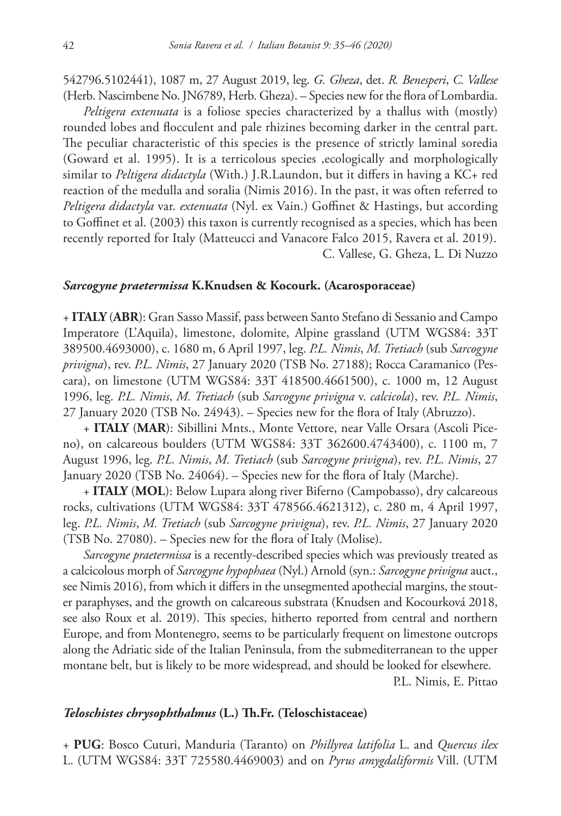542796.5102441), 1087 m, 27 August 2019, leg. *G. Gheza*, det. *R. Benesperi*, *C. Vallese* (Herb. Nascimbene No. JN6789, Herb. Gheza). – Species new for the flora of Lombardia.

*Peltigera extenuata* is a foliose species characterized by a thallus with (mostly) rounded lobes and flocculent and pale rhizines becoming darker in the central part. The peculiar characteristic of this species is the presence of strictly laminal soredia (Goward et al. 1995). It is a terricolous species ,ecologically and morphologically similar to *Peltigera didactyla* (With.) J.R.Laundon, but it differs in having a KC+ red reaction of the medulla and soralia (Nimis 2016). In the past, it was often referred to *Peltigera didactyla* var. *extenuata* (Nyl. ex Vain.) Goffinet & Hastings, but according to Goffinet et al. (2003) this taxon is currently recognised as a species, which has been recently reported for Italy (Matteucci and Vanacore Falco 2015, Ravera et al. 2019). C. Vallese, G. Gheza, L. Di Nuzzo

#### *Sarcogyne praetermissa* **K.Knudsen & Kocourk. (Acarosporaceae)**

+ **ITALY** (**ABR**): Gran Sasso Massif, pass between Santo Stefano di Sessanio and Campo Imperatore (L'Aquila), limestone, dolomite, Alpine grassland (UTM WGS84: 33T 389500.4693000), c. 1680 m, 6 April 1997, leg. *P.L. Nimis*, *M. Tretiach* (sub *Sarcogyne privigna*), rev. *P.L. Nimis*, 27 January 2020 (TSB No. 27188); Rocca Caramanico (Pescara), on limestone (UTM WGS84: 33T 418500.4661500), c. 1000 m, 12 August 1996, leg. *P.L. Nimis*, *M. Tretiach* (sub *Sarcogyne privigna* v. *calcicola*), rev. *P.L. Nimis*, 27 January 2020 (TSB No. 24943). – Species new for the flora of Italy (Abruzzo).

+ **ITALY** (**MAR**): Sibillini Mnts., Monte Vettore, near Valle Orsara (Ascoli Piceno), on calcareous boulders (UTM WGS84: 33T 362600.4743400), c. 1100 m, 7 August 1996, leg. *P.L. Nimis*, *M. Tretiach* (sub *Sarcogyne privigna*), rev. *P.L. Nimis*, 27 January 2020 (TSB No. 24064). – Species new for the flora of Italy (Marche).

+ **ITALY** (**MOL**): Below Lupara along river Biferno (Campobasso), dry calcareous rocks, cultivations (UTM WGS84: 33T 478566.4621312), c. 280 m, 4 April 1997, leg. *P.L. Nimis*, *M. Tretiach* (sub *Sarcogyne privigna*), rev. *P.L. Nimis*, 27 January 2020 (TSB No. 27080). – Species new for the flora of Italy (Molise).

*Sarcogyne praetermissa* is a recently-described species which was previously treated as a calcicolous morph of *Sarcogyne hypophaea* (Nyl.) Arnold (syn.: *Sarcogyne privigna* auct., see Nimis 2016), from which it differs in the unsegmented apothecial margins, the stouter paraphyses, and the growth on calcareous substrata (Knudsen and Kocourková 2018, see also Roux et al. 2019). This species, hitherto reported from central and northern Europe, and from Montenegro, seems to be particularly frequent on limestone outcrops along the Adriatic side of the Italian Peninsula, from the submediterranean to the upper montane belt, but is likely to be more widespread, and should be looked for elsewhere.

P.L. Nimis, E. Pittao

## *Teloschistes chrysophthalmus* **(L.) Th.Fr. (Teloschistaceae)**

+ **PUG**: Bosco Cuturi, Manduria (Taranto) on *Phillyrea latifolia* L. and *Quercus ilex* L. (UTM WGS84: 33T 725580.4469003) and on *Pyrus amygdaliformis* Vill. (UTM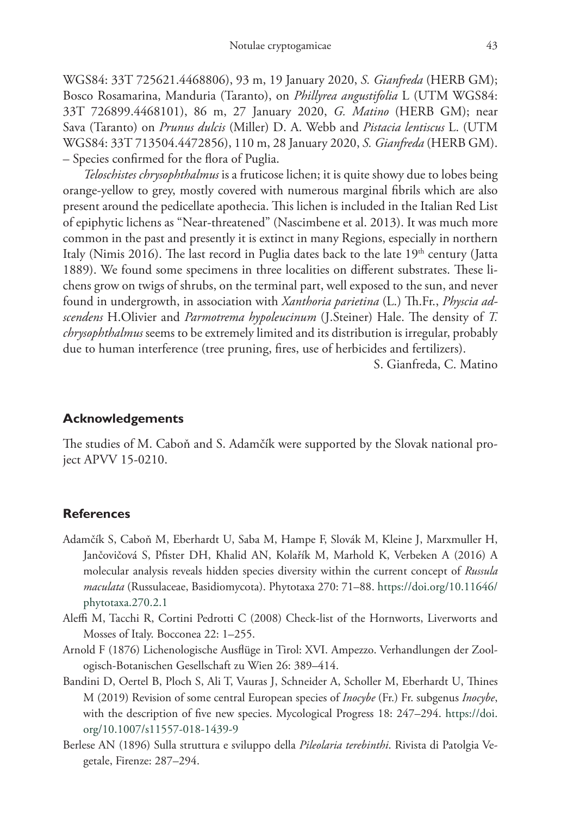WGS84: 33T 725621.4468806), 93 m, 19 January 2020, *S. Gianfreda* (HERB GM); Bosco Rosamarina, Manduria (Taranto), on *Phillyrea angustifolia* L (UTM WGS84: 33T 726899.4468101), 86 m, 27 January 2020, *G. Matino* (HERB GM); near Sava (Taranto) on *Prunus dulcis* (Miller) D. A. Webb and *Pistacia lentiscus* L. (UTM WGS84: 33T 713504.4472856), 110 m, 28 January 2020, *S. Gianfreda* (HERB GM). – Species confirmed for the flora of Puglia.

*Teloschistes chrysophthalmus* is a fruticose lichen; it is quite showy due to lobes being orange-yellow to grey, mostly covered with numerous marginal fibrils which are also present around the pedicellate apothecia. This lichen is included in the Italian Red List of epiphytic lichens as "Near-threatened" (Nascimbene et al. 2013). It was much more common in the past and presently it is extinct in many Regions, especially in northern Italy (Nimis 2016). The last record in Puglia dates back to the late  $19<sup>th</sup>$  century (Jatta 1889). We found some specimens in three localities on different substrates. These lichens grow on twigs of shrubs, on the terminal part, well exposed to the sun, and never found in undergrowth, in association with *Xanthoria parietina* (L.) Th.Fr., *Physcia adscendens* H.Olivier and *Parmotrema hypoleucinum* (J.Steiner) Hale. The density of *T. chrysophthalmus* seems to be extremely limited and its distribution is irregular, probably due to human interference (tree pruning, fires, use of herbicides and fertilizers).

S. Gianfreda, C. Matino

#### **Acknowledgements**

The studies of M. Caboň and S. Adamčík were supported by the Slovak national project APVV 15-0210.

#### **References**

- Adamčík S, Caboň M, Eberhardt U, Saba M, Hampe F, Slovák M, Kleine J, Marxmuller H, Jančovičová S, Pfister DH, Khalid AN, Kolařík M, Marhold K, Verbeken A (2016) A molecular analysis reveals hidden species diversity within the current concept of *Russula maculata* (Russulaceae, Basidiomycota). Phytotaxa 270: 71–88. [https://doi.org/10.11646/](https://doi.org/10.11646/phytotaxa.270.2.1) [phytotaxa.270.2.1](https://doi.org/10.11646/phytotaxa.270.2.1)
- Aleffi M, Tacchi R, Cortini Pedrotti C (2008) Check-list of the Hornworts, Liverworts and Mosses of Italy. Bocconea 22: 1–255.
- Arnold F (1876) Lichenologische Ausflüge in Tirol: XVI. Ampezzo. Verhandlungen der Zoologisch-Botanischen Gesellschaft zu Wien 26: 389–414.
- Bandini D, Oertel B, Ploch S, Ali T, Vauras J, Schneider A, Scholler M, Eberhardt U, Thines M (2019) Revision of some central European species of *Inocybe* (Fr.) Fr. subgenus *Inocybe*, with the description of five new species. Mycological Progress 18: 247–294. [https://doi.](https://doi.org/10.1007/s11557-018-1439-9) [org/10.1007/s11557-018-1439-9](https://doi.org/10.1007/s11557-018-1439-9)
- Berlese AN (1896) Sulla struttura e sviluppo della *Pileolaria terebinthi*. Rivista di Patolgia Vegetale, Firenze: 287–294.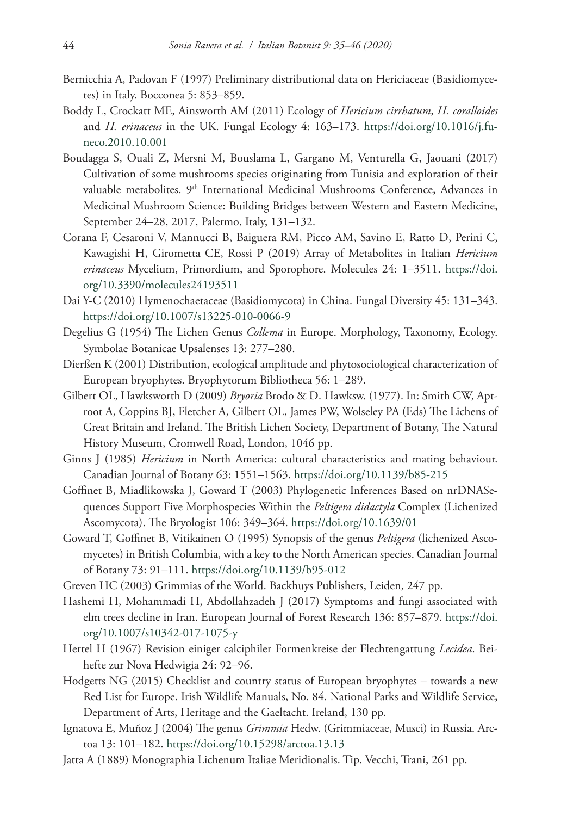- Bernicchia A, Padovan F (1997) Preliminary distributional data on Hericiaceae (Basidiomycetes) in Italy. Bocconea 5: 853–859.
- Boddy L, Crockatt ME, Ainsworth AM (2011) Ecology of *Hericium cirrhatum*, *H. coralloides* and *H. erinaceus* in the UK. Fungal Ecology 4: 163–173. [https://doi.org/10.1016/j.fu](https://doi.org/10.1016/j.funeco.2010.10.001)[neco.2010.10.001](https://doi.org/10.1016/j.funeco.2010.10.001)
- Boudagga S, Ouali Z, Mersni M, Bouslama L, Gargano M, Venturella G, Jaouani (2017) Cultivation of some mushrooms species originating from Tunisia and exploration of their valuable metabolites. 9<sup>th</sup> International Medicinal Mushrooms Conference, Advances in Medicinal Mushroom Science: Building Bridges between Western and Eastern Medicine, September 24–28, 2017, Palermo, Italy, 131–132.
- Corana F, Cesaroni V, Mannucci B, Baiguera RM, Picco AM, Savino E, Ratto D, Perini C, Kawagishi H, Girometta CE, Rossi P (2019) Array of Metabolites in Italian *Hericium erinaceus* Mycelium, Primordium, and Sporophore. Molecules 24: 1–3511. [https://doi.](https://doi.org/10.3390/molecules24193511) [org/10.3390/molecules24193511](https://doi.org/10.3390/molecules24193511)
- Dai Y-C (2010) Hymenochaetaceae (Basidiomycota) in China. Fungal Diversity 45: 131–343. <https://doi.org/10.1007/s13225-010-0066-9>
- Degelius G (1954) The Lichen Genus *Collema* in Europe. Morphology, Taxonomy, Ecology. Symbolae Botanicae Upsalenses 13: 277–280.
- Dierßen K (2001) Distribution, ecological amplitude and phytosociological characterization of European bryophytes. Bryophytorum Bibliotheca 56: 1–289.
- Gilbert OL, Hawksworth D (2009) *Bryoria* Brodo & D. Hawksw. (1977). In: Smith CW, Aptroot A, Coppins BJ, Fletcher A, Gilbert OL, James PW, Wolseley PA (Eds) The Lichens of Great Britain and Ireland. The British Lichen Society, Department of Botany, The Natural History Museum, Cromwell Road, London, 1046 pp.
- Ginns J (1985) *Hericium* in North America: cultural characteristics and mating behaviour. Canadian Journal of Botany 63: 1551–1563.<https://doi.org/10.1139/b85-215>
- Goffinet B, Miadlikowska J, Goward T (2003) Phylogenetic Inferences Based on nrDNASequences Support Five Morphospecies Within the *Peltigera didactyla* Complex (Lichenized Ascomycota). The Bryologist 106: 349–364. <https://doi.org/10.1639/01>
- Goward T, Goffinet B, Vitikainen O (1995) Synopsis of the genus *Peltigera* (lichenized Ascomycetes) in British Columbia, with a key to the North American species. Canadian Journal of Botany 73: 91–111. <https://doi.org/10.1139/b95-012>
- Greven HC (2003) Grimmias of the World. Backhuys Publishers, Leiden, 247 pp.
- Hashemi H, Mohammadi H, Abdollahzadeh J (2017) Symptoms and fungi associated with elm trees decline in Iran. European Journal of Forest Research 136: 857–879. [https://doi.](https://doi.org/10.1007/s10342-017-1075-y) [org/10.1007/s10342-017-1075-y](https://doi.org/10.1007/s10342-017-1075-y)
- Hertel H (1967) Revision einiger calciphiler Formenkreise der Flechtengattung *Lecidea*. Beihefte zur Nova Hedwigia 24: 92–96.
- Hodgetts NG (2015) Checklist and country status of European bryophytes towards a new Red List for Europe. Irish Wildlife Manuals, No. 84. National Parks and Wildlife Service, Department of Arts, Heritage and the Gaeltacht. Ireland, 130 pp.
- Ignatova E, Muñoz J (2004) The genus *Grimmia* Hedw. (Grimmiaceae, Musci) in Russia. Arctoa 13: 101–182. <https://doi.org/10.15298/arctoa.13.13>
- Jatta A (1889) Monographia Lichenum Italiae Meridionalis. Tip. Vecchi, Trani, 261 pp.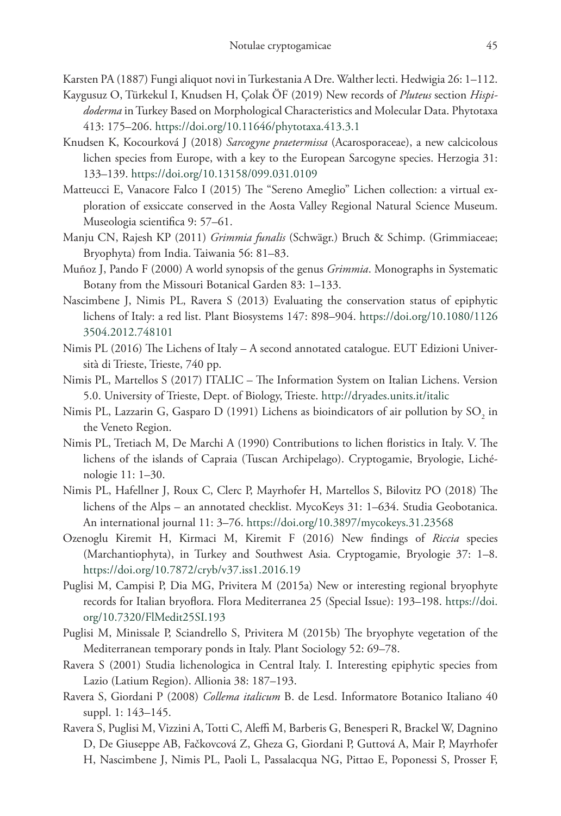Karsten PA (1887) Fungi aliquot novi in Turkestania A Dre. Walther lecti. Hedwigia 26: 1–112.

- Kaygusuz O, Türkekul I, Knudsen H, Çolak ÖF (2019) New records of *Pluteus* section *Hispidoderma* in Turkey Based on Morphological Characteristics and Molecular Data. Phytotaxa 413: 175–206. <https://doi.org/10.11646/phytotaxa.413.3.1>
- Knudsen K, Kocourková J (2018) *Sarcogyne praetermissa* (Acarosporaceae), a new calcicolous lichen species from Europe, with a key to the European Sarcogyne species. Herzogia 31: 133–139.<https://doi.org/10.13158/099.031.0109>
- Matteucci E, Vanacore Falco I (2015) The "Sereno Ameglio" Lichen collection: a virtual exploration of exsiccate conserved in the Aosta Valley Regional Natural Science Museum. Museologia scientifica 9: 57–61.
- Manju CN, Rajesh KP (2011) *Grimmia funalis* (Schwägr.) Bruch & Schimp. (Grimmiaceae; Bryophyta) from India. Taiwania 56: 81–83.
- Muñoz J, Pando F (2000) A world synopsis of the genus *Grimmia*. Monographs in Systematic Botany from the Missouri Botanical Garden 83: 1–133.
- Nascimbene J, Nimis PL, Ravera S (2013) Evaluating the conservation status of epiphytic lichens of Italy: a red list. Plant Biosystems 147: 898–904. [https://doi.org/10.1080/1126](https://doi.org/10.1080/11263504.2012.748101) [3504.2012.748101](https://doi.org/10.1080/11263504.2012.748101)
- Nimis PL (2016) The Lichens of Italy A second annotated catalogue. EUT Edizioni Università di Trieste, Trieste, 740 pp.
- Nimis PL, Martellos S (2017) ITALIC The Information System on Italian Lichens. Version 5.0. University of Trieste, Dept. of Biology, Trieste.<http://dryades.units.it/italic>
- Nimis PL, Lazzarin G, Gasparo D (1991) Lichens as bioindicators of air pollution by  $\mathrm{SO}_2^{}$  in the Veneto Region.
- Nimis PL, Tretiach M, De Marchi A (1990) Contributions to lichen floristics in Italy. V. The lichens of the islands of Capraia (Tuscan Archipelago). Cryptogamie, Bryologie, Lichénologie 11: 1–30.
- Nimis PL, Hafellner J, Roux C, Clerc P, Mayrhofer H, Martellos S, Bilovitz PO (2018) The lichens of the Alps – an annotated checklist. MycoKeys 31: 1–634. Studia Geobotanica. An international journal 11: 3–76. <https://doi.org/10.3897/mycokeys.31.23568>
- Ozenoglu Kiremit H, Kirmaci M, Kiremit F (2016) New findings of *Riccia* species (Marchantiophyta), in Turkey and Southwest Asia. Cryptogamie, Bryologie 37: 1–8. <https://doi.org/10.7872/cryb/v37.iss1.2016.19>
- Puglisi M, Campisi P, Dia MG, Privitera M (2015a) New or interesting regional bryophyte records for Italian bryoflora. Flora Mediterranea 25 (Special Issue): 193–198. [https://doi.](https://doi.org/10.7320/FlMedit25SI.193) [org/10.7320/FlMedit25SI.193](https://doi.org/10.7320/FlMedit25SI.193)
- Puglisi M, Minissale P, Sciandrello S, Privitera M (2015b) The bryophyte vegetation of the Mediterranean temporary ponds in Italy. Plant Sociology 52: 69–78.
- Ravera S (2001) Studia lichenologica in Central Italy. I. Interesting epiphytic species from Lazio (Latium Region). Allionia 38: 187–193.
- Ravera S, Giordani P (2008) *Collema italicum* B. de Lesd. Informatore Botanico Italiano 40 suppl. 1: 143–145.
- Ravera S, Puglisi M, Vizzini A, Totti C, Aleffi M, Barberis G, Benesperi R, Brackel W, Dagnino D, De Giuseppe AB, Fačkovcová Z, Gheza G, Giordani P, Guttová A, Mair P, Mayrhofer H, Nascimbene J, Nimis PL, Paoli L, Passalacqua NG, Pittao E, Poponessi S, Prosser F,